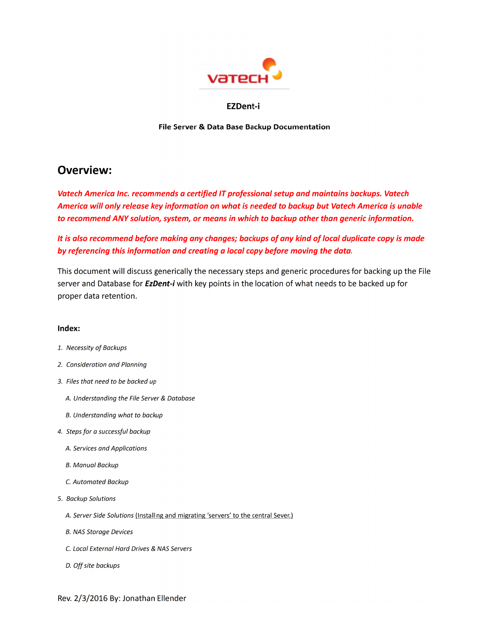

### **EZDent-i**

File Server & Data Base Backup Documentation

## **Overview:**

Vatech America Inc. recommends a certified IT professional setup and maintains backups. Vatech America will only release key information on what is needed to backup but Vatech America is unable to recommend ANY solution, system, or means in which to backup other than generic information.

It is also recommend before making any changes; backups of any kind of local duplicate copy is made by referencing this information and creating a local copy before moving the data.

This document will discuss generically the necessary steps and generic procedures for backing up the File server and Database for *EzDent-i* with key points in the location of what needs to be backed up for proper data retention.

### Index:

- 1. Necessity of Backups
- 2. Consideration and Planning
- 3. Files that need to be backed up
	- A. Understanding the File Server & Database
	- B. Understanding what to backup
- 4. Steps for a successful backup
	- A. Services and Applications
	- **B. Manual Backup**
	- C. Automated Backup
- 5. Backup Solutions
	- A. Server Side Solutions (Installing and migrating 'servers' to the central Sever.)
	- **B. NAS Storage Devices**
	- C. Local External Hard Drives & NAS Servers
	- D. Off site backups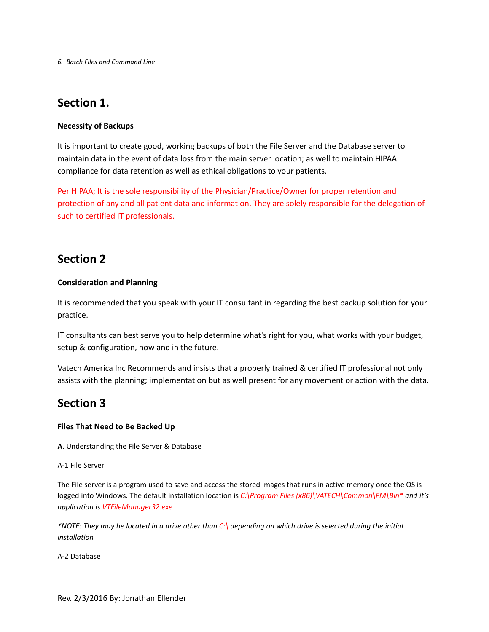*6. Batch Files and Command Line*

# **Section 1.**

### **Necessity of Backups**

It is important to create good, working backups of both the File Server and the Database server to maintain data in the event of data loss from the main server location; as well to maintain HIPAA compliance for data retention as well as ethical obligations to your patients.

Per HIPAA; It is the sole responsibility of the Physician/Practice/Owner for proper retention and protection of any and all patient data and information. They are solely responsible for the delegation of such to certified IT professionals.

## **Section 2**

### **Consideration and Planning**

It is recommended that you speak with your IT consultant in regarding the best backup solution for your practice.

IT consultants can best serve you to help determine what's right for you, what works with your budget, setup & configuration, now and in the future.

Vatech America Inc Recommends and insists that a properly trained & certified IT professional not only assists with the planning; implementation but as well present for any movement or action with the data.

# **Section 3**

### **Files That Need to Be Backed Up**

### **A**. Understanding the File Server & Database

### A-1 File Server

The File server is a program used to save and access the stored images that runs in active memory once the OS is logged into Windows. The default installation location is *C:\Program Files (x86)\VATECH\Common\FM\Bin\* and it's application is VTFileManager32.exe*

*\*NOTE: They may be located in a drive other than C:\ depending on which drive is selected during the initial installation*

A-2 Database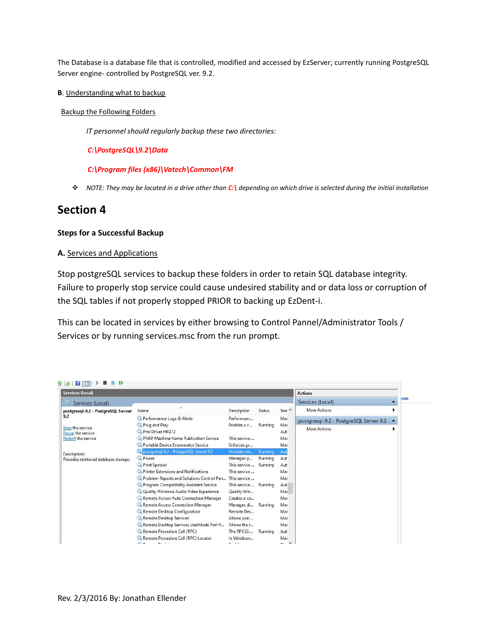The Database is a database file that is controlled, modified and accessed by EzServer; currently running PostgreSQL Server engine- controlled by PostgreSQL ver. 9.2.

#### **B**. Understanding what to backup

#### Backup the Following Folders

*IT personnel should regularly backup these two directories:*

### *C:\PostgreSQL\9.2\Data*

#### *C:\Program files (x86)\Vatech\Common\FM*

*NOTE: They may be located in a drive other than C:\ depending on which drive is selected during the initial installation* 

### **Section 4**

### **Steps for a Successful Backup**

### **A.** Services and Applications

Stop postgreSQL services to backup these folders in order to retain SQL database integrity. Failure to properly stop service could cause undesired stability and or data loss or corruption of the SQL tables if not properly stopped PRIOR to backing up EzDent-i.

This can be located in services by either browsing to Control Pannel/Administrator Tools / Services or by running services.msc from the run prompt.

| Services (Local)                                                    |                                                        |                       |         |                    | <b>Actions</b>                         |  |               |
|---------------------------------------------------------------------|--------------------------------------------------------|-----------------------|---------|--------------------|----------------------------------------|--|---------------|
| Services (Local)                                                    |                                                        |                       |         |                    | Services (Local)                       |  | <b>stails</b> |
| postgresql-9.2 - PostgreSQL Server<br>9.2                           | Name                                                   | Description           | Status  | Star ^             | More Actions                           |  |               |
|                                                                     | Performance Logs & Alerts                              | Performanc            |         | Mar                | postgresgl-9.2 - PostgreSQL Server 9.2 |  |               |
| Stop the service<br>Pause the service<br><b>Restart the service</b> | Plug and Play                                          | Enables a c           | Running | Mar                |                                        |  |               |
|                                                                     | Pml Driver HPZ12                                       |                       |         | Aut                | More Actions                           |  |               |
|                                                                     | <b>PNRP Machine Name Publication Service</b>           | This service          |         | Mar                |                                        |  |               |
|                                                                     | Portable Device Enumerator Service                     | Enforces gr           |         | Mar                |                                        |  |               |
| Description:<br>Provides relational database storage.               | postgresql-9.2 - PostgreSQL Server 9.2                 | Provides rel          | Running | Aut                |                                        |  |               |
|                                                                     | Power                                                  | Manages p             | Running | Aut                |                                        |  |               |
|                                                                     | Print Spooler                                          | This service  Running |         | Aut                |                                        |  |               |
|                                                                     | <b>Printer Extensions and Notifications</b>            | This service          |         | Mar                |                                        |  |               |
|                                                                     | Problem Reports and Solutions Control Pan This service |                       |         | Mar                |                                        |  |               |
|                                                                     | Program Compatibility Assistant Service                | This service  Running |         | Aut                |                                        |  |               |
|                                                                     | Quality Windows Audio Video Experience                 | Quality Win           |         | Mar                |                                        |  |               |
|                                                                     | Remote Access Auto Connection Manager                  | Creates a co          |         | Mar                |                                        |  |               |
|                                                                     | Remote Access Connection Manager                       | Manages di Running    |         | Mar                |                                        |  |               |
|                                                                     | Remote Desktop Configuration                           | Remote Des            |         | Mar                |                                        |  |               |
|                                                                     | Remote Desktop Services                                | Allows user           |         | Mar                |                                        |  |               |
|                                                                     | Remote Desktop Services UserMode Port R                | Allows the r          |         | Mar                |                                        |  |               |
|                                                                     | Remote Procedure Call (RPC)                            | The RPCSS             | Running | Aut                |                                        |  |               |
|                                                                     | Remote Procedure Call (RPC) Locator                    | In Windows            |         | Mar                |                                        |  |               |
|                                                                     | $  -$                                                  | $ -$                  |         | $\checkmark$<br>m- |                                        |  |               |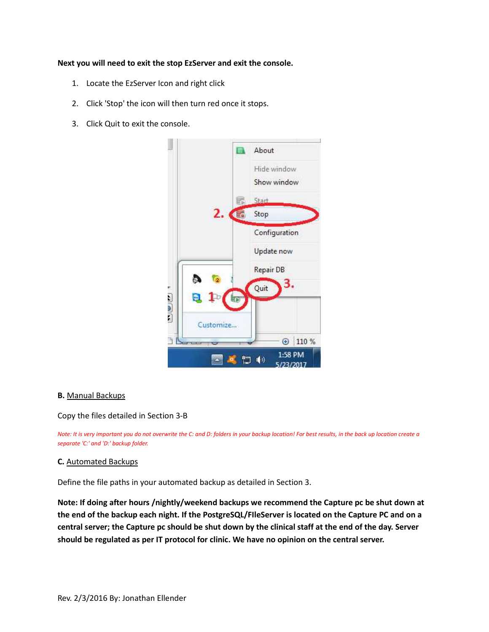### **Next you will need to exit the stop EzServer and exit the console.**

- 1. Locate the EzServer Icon and right click
- 2. Click 'Stop' the icon will then turn red once it stops.
- 3. Click Quit to exit the console.



### **B.** Manual Backups

Copy the files detailed in Section 3-B

*Note: It is very important you do not overwrite the C: and D: folders in your backup location! For best results, in the back up location create a separate 'C:' and 'D:' backup folder.* 

### **C.** Automated Backups

Define the file paths in your automated backup as detailed in Section 3.

**Note: If doing after hours /nightly/weekend backups we recommend the Capture pc be shut down at the end of the backup each night. If the PostgreSQL/FIleServer is located on the Capture PC and on a central server; the Capture pc should be shut down by the clinical staff at the end of the day. Server should be regulated as per IT protocol for clinic. We have no opinion on the central server.**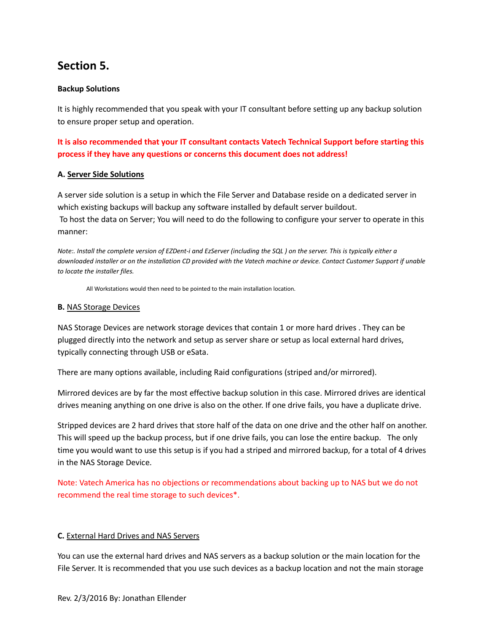# **Section 5.**

### **Backup Solutions**

It is highly recommended that you speak with your IT consultant before setting up any backup solution to ensure proper setup and operation.

**It is also recommended that your IT consultant contacts Vatech Technical Support before starting this process if they have any questions or concerns this document does not address!**

### **A. Server Side Solutions**

A server side solution is a setup in which the File Server and Database reside on a dedicated server in which existing backups will backup any software installed by default server buildout. To host the data on Server; You will need to do the following to configure your server to operate in this manner:

*Note:. Install the complete version of EZDent-i and EzServer (including the SQL ) on the server. This is typically either a downloaded installer or on the installation CD provided with the Vatech machine or device. Contact Customer Support if unable to locate the installer files.* 

All Workstations would then need to be pointed to the main installation location.

### **B.** NAS Storage Devices

NAS Storage Devices are network storage devices that contain 1 or more hard drives . They can be plugged directly into the network and setup as server share or setup as local external hard drives, typically connecting through USB or eSata.

There are many options available, including Raid configurations (striped and/or mirrored).

Mirrored devices are by far the most effective backup solution in this case. Mirrored drives are identical drives meaning anything on one drive is also on the other. If one drive fails, you have a duplicate drive.

Stripped devices are 2 hard drives that store half of the data on one drive and the other half on another. This will speed up the backup process, but if one drive fails, you can lose the entire backup. The only time you would want to use this setup is if you had a striped and mirrored backup, for a total of 4 drives in the NAS Storage Device.

Note: Vatech America has no objections or recommendations about backing up to NAS but we do not recommend the real time storage to such devices\*.

### **C.** External Hard Drives and NAS Servers

You can use the external hard drives and NAS servers as a backup solution or the main location for the File Server. It is recommended that you use such devices as a backup location and not the main storage